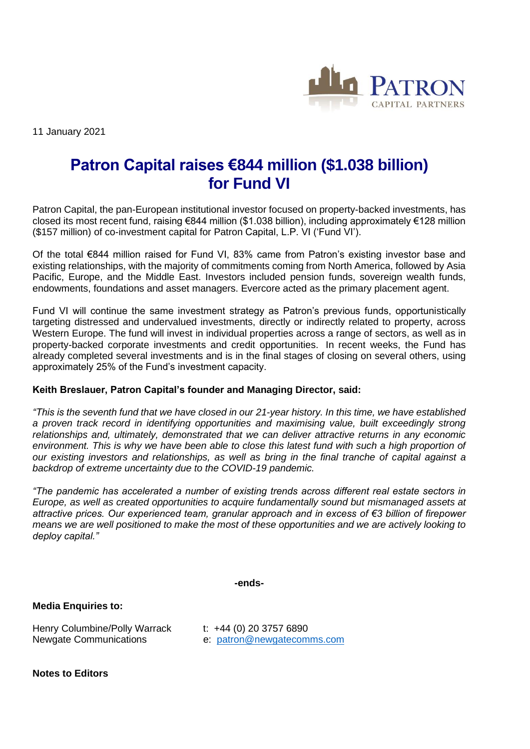

11 January 2021

## **Patron Capital raises €844 million (\$1.038 billion) for Fund VI**

Patron Capital, the pan-European institutional investor focused on property-backed investments, has closed its most recent fund, raising €844 million (\$1.038 billion), including approximately €128 million (\$157 million) of co-investment capital for Patron Capital, L.P. VI ('Fund VI').

Of the total €844 million raised for Fund VI, 83% came from Patron's existing investor base and existing relationships, with the majority of commitments coming from North America, followed by Asia Pacific, Europe, and the Middle East. Investors included pension funds, sovereign wealth funds, endowments, foundations and asset managers. Evercore acted as the primary placement agent.

Fund VI will continue the same investment strategy as Patron's previous funds, opportunistically targeting distressed and undervalued investments, directly or indirectly related to property, across Western Europe. The fund will invest in individual properties across a range of sectors, as well as in property-backed corporate investments and credit opportunities. In recent weeks, the Fund has already completed several investments and is in the final stages of closing on several others, using approximately 25% of the Fund's investment capacity.

## **Keith Breslauer, Patron Capital's founder and Managing Director, said:**

*"This is the seventh fund that we have closed in our 21-year history. In this time, we have established a proven track record in identifying opportunities and maximising value, built exceedingly strong relationships and, ultimately, demonstrated that we can deliver attractive returns in any economic environment. This is why we have been able to close this latest fund with such a high proportion of our existing investors and relationships, as well as bring in the final tranche of capital against a backdrop of extreme uncertainty due to the COVID-19 pandemic.* 

*"The pandemic has accelerated a number of existing trends across different real estate sectors in Europe, as well as created opportunities to acquire fundamentally sound but mismanaged assets at attractive prices. Our experienced team, granular approach and in excess of €3 billion of firepower means we are well positioned to make the most of these opportunities and we are actively looking to deploy capital."*

**-ends-**

**Media Enquiries to:**

Henry Columbine/Polly Warrack t: +44 (0) 20 3757 6890 Newgate Communications e: [patron@newgatecomms.com](mailto:patron@newgatecomms.com) 

**Notes to Editors**